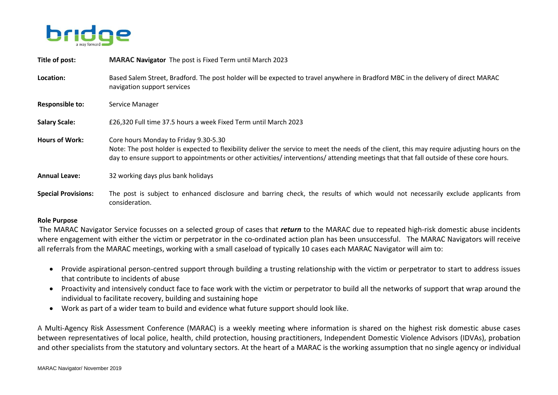

| Title of post:             | <b>MARAC Navigator</b> The post is Fixed Term until March 2023                                                                                                                                                                                                                                                                     |
|----------------------------|------------------------------------------------------------------------------------------------------------------------------------------------------------------------------------------------------------------------------------------------------------------------------------------------------------------------------------|
| Location:                  | Based Salem Street, Bradford. The post holder will be expected to travel anywhere in Bradford MBC in the delivery of direct MARAC<br>navigation support services                                                                                                                                                                   |
| <b>Responsible to:</b>     | Service Manager                                                                                                                                                                                                                                                                                                                    |
| <b>Salary Scale:</b>       | £26,320 Full time 37.5 hours a week Fixed Term until March 2023                                                                                                                                                                                                                                                                    |
| <b>Hours of Work:</b>      | Core hours Monday to Friday 9.30-5.30<br>Note: The post holder is expected to flexibility deliver the service to meet the needs of the client, this may require adjusting hours on the<br>day to ensure support to appointments or other activities/ interventions/ attending meetings that that fall outside of these core hours. |
| <b>Annual Leave:</b>       | 32 working days plus bank holidays                                                                                                                                                                                                                                                                                                 |
| <b>Special Provisions:</b> | The post is subject to enhanced disclosure and barring check, the results of which would not necessarily exclude applicants from<br>consideration.                                                                                                                                                                                 |

## **Role Purpose**

The MARAC Navigator Service focusses on a selected group of cases that *return* to the MARAC due to repeated high-risk domestic abuse incidents where engagement with either the victim or perpetrator in the co-ordinated action plan has been unsuccessful. The MARAC Navigators will receive all referrals from the MARAC meetings, working with a small caseload of typically 10 cases each MARAC Navigator will aim to:

- Provide aspirational person-centred support through building a trusting relationship with the victim or perpetrator to start to address issues that contribute to incidents of abuse
- Proactivity and intensively conduct face to face work with the victim or perpetrator to build all the networks of support that wrap around the individual to facilitate recovery, building and sustaining hope
- Work as part of a wider team to build and evidence what future support should look like.

A Multi-Agency Risk Assessment Conference (MARAC) is a weekly meeting where information is shared on the highest risk domestic abuse cases between representatives of local police, health, child protection, housing practitioners, Independent Domestic Violence Advisors (IDVAs), probation and other specialists from the statutory and voluntary sectors. At the heart of a MARAC is the working assumption that no single agency or individual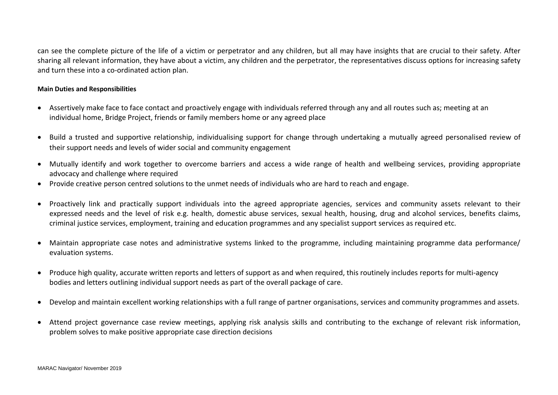can see the complete picture of the life of a victim or perpetrator and any children, but all may have insights that are crucial to their safety. After sharing all relevant information, they have about a victim, any children and the perpetrator, the representatives discuss options for increasing safety and turn these into a co-ordinated action plan.

## **Main Duties and Responsibilities**

- Assertively make face to face contact and proactively engage with individuals referred through any and all routes such as; meeting at an individual home, Bridge Project, friends or family members home or any agreed place
- Build a trusted and supportive relationship, individualising support for change through undertaking a mutually agreed personalised review of their support needs and levels of wider social and community engagement
- Mutually identify and work together to overcome barriers and access a wide range of health and wellbeing services, providing appropriate advocacy and challenge where required
- Provide creative person centred solutions to the unmet needs of individuals who are hard to reach and engage.
- Proactively link and practically support individuals into the agreed appropriate agencies, services and community assets relevant to their expressed needs and the level of risk e.g. health, domestic abuse services, sexual health, housing, drug and alcohol services, benefits claims, criminal justice services, employment, training and education programmes and any specialist support services as required etc.
- Maintain appropriate case notes and administrative systems linked to the programme, including maintaining programme data performance/ evaluation systems.
- Produce high quality, accurate written reports and letters of support as and when required, this routinely includes reports for multi-agency bodies and letters outlining individual support needs as part of the overall package of care.
- Develop and maintain excellent working relationships with a full range of partner organisations, services and community programmes and assets.
- Attend project governance case review meetings, applying risk analysis skills and contributing to the exchange of relevant risk information, problem solves to make positive appropriate case direction decisions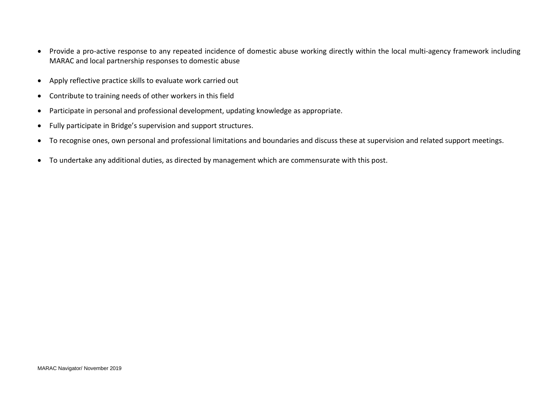- Provide a pro-active response to any repeated incidence of domestic abuse working directly within the local multi-agency framework including MARAC and local partnership responses to domestic abuse
- Apply reflective practice skills to evaluate work carried out
- Contribute to training needs of other workers in this field
- Participate in personal and professional development, updating knowledge as appropriate.
- Fully participate in Bridge's supervision and support structures.
- To recognise ones, own personal and professional limitations and boundaries and discuss these at supervision and related support meetings.
- To undertake any additional duties, as directed by management which are commensurate with this post.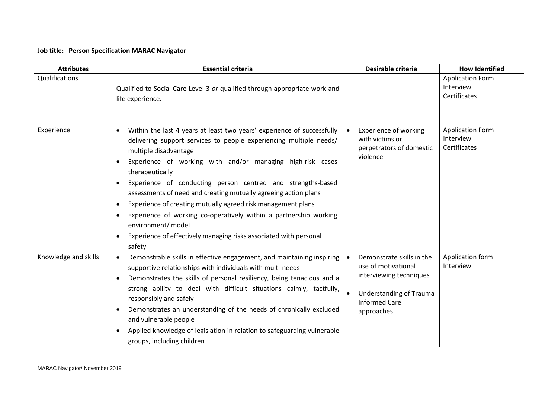|                      | <b>Job title: Person Specification MARAC Navigator</b>                                                                                                                                                                                                                                                                                                                                                                                                                                                                                                                                                                                                                    |                                                                                                                                                                               |                                                      |  |  |
|----------------------|---------------------------------------------------------------------------------------------------------------------------------------------------------------------------------------------------------------------------------------------------------------------------------------------------------------------------------------------------------------------------------------------------------------------------------------------------------------------------------------------------------------------------------------------------------------------------------------------------------------------------------------------------------------------------|-------------------------------------------------------------------------------------------------------------------------------------------------------------------------------|------------------------------------------------------|--|--|
| <b>Attributes</b>    | <b>Essential criteria</b>                                                                                                                                                                                                                                                                                                                                                                                                                                                                                                                                                                                                                                                 | Desirable criteria                                                                                                                                                            | <b>How Identified</b>                                |  |  |
| Qualifications       | Qualified to Social Care Level 3 or qualified through appropriate work and<br>life experience.                                                                                                                                                                                                                                                                                                                                                                                                                                                                                                                                                                            |                                                                                                                                                                               | <b>Application Form</b><br>Interview<br>Certificates |  |  |
| Experience           | Within the last 4 years at least two years' experience of successfully<br>$\bullet$<br>delivering support services to people experiencing multiple needs/<br>multiple disadvantage<br>Experience of working with and/or managing high-risk cases<br>therapeutically<br>Experience of conducting person centred and strengths-based<br>assessments of need and creating mutually agreeing action plans<br>Experience of creating mutually agreed risk management plans<br>$\bullet$<br>Experience of working co-operatively within a partnership working<br>environment/ model<br>Experience of effectively managing risks associated with personal<br>$\bullet$<br>safety | <b>Experience of working</b><br>$\bullet$<br>with victims or<br>perpetrators of domestic<br>violence                                                                          | <b>Application Form</b><br>Interview<br>Certificates |  |  |
| Knowledge and skills | Demonstrable skills in effective engagement, and maintaining inspiring<br>$\bullet$<br>supportive relationships with individuals with multi-needs<br>Demonstrates the skills of personal resiliency, being tenacious and a<br>strong ability to deal with difficult situations calmly, tactfully,<br>responsibly and safely<br>Demonstrates an understanding of the needs of chronically excluded<br>and vulnerable people<br>Applied knowledge of legislation in relation to safeguarding vulnerable<br>groups, including children                                                                                                                                       | Demonstrate skills in the<br>$\bullet$<br>use of motivational<br>interviewing techniques<br><b>Understanding of Trauma</b><br>$\bullet$<br><b>Informed Care</b><br>approaches | Application form<br>Interview                        |  |  |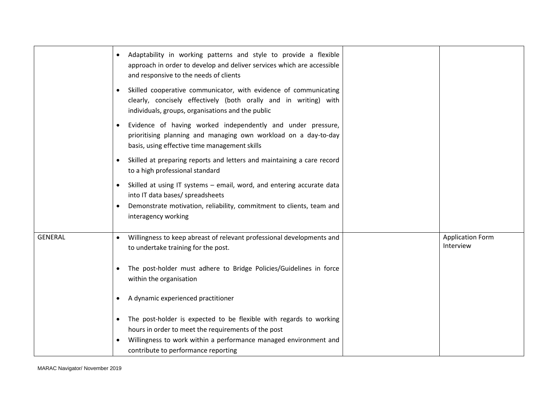|                | Adaptability in working patterns and style to provide a flexible<br>approach in order to develop and deliver services which are accessible<br>and responsive to the needs of clients<br>Skilled cooperative communicator, with evidence of communicating<br>$\bullet$<br>clearly, concisely effectively (both orally and in writing) with<br>individuals, groups, organisations and the public |                                      |
|----------------|------------------------------------------------------------------------------------------------------------------------------------------------------------------------------------------------------------------------------------------------------------------------------------------------------------------------------------------------------------------------------------------------|--------------------------------------|
|                | Evidence of having worked independently and under pressure,<br>prioritising planning and managing own workload on a day-to-day<br>basis, using effective time management skills                                                                                                                                                                                                                |                                      |
|                | Skilled at preparing reports and letters and maintaining a care record<br>to a high professional standard                                                                                                                                                                                                                                                                                      |                                      |
|                | Skilled at using IT systems - email, word, and entering accurate data<br>$\bullet$<br>into IT data bases/ spreadsheets<br>Demonstrate motivation, reliability, commitment to clients, team and<br>$\bullet$<br>interagency working                                                                                                                                                             |                                      |
| <b>GENERAL</b> | Willingness to keep abreast of relevant professional developments and<br>$\bullet$<br>to undertake training for the post.                                                                                                                                                                                                                                                                      | <b>Application Form</b><br>Interview |
|                | The post-holder must adhere to Bridge Policies/Guidelines in force<br>within the organisation                                                                                                                                                                                                                                                                                                  |                                      |
|                | A dynamic experienced practitioner<br>$\bullet$                                                                                                                                                                                                                                                                                                                                                |                                      |
|                | The post-holder is expected to be flexible with regards to working<br>hours in order to meet the requirements of the post                                                                                                                                                                                                                                                                      |                                      |
|                | Willingness to work within a performance managed environment and<br>$\bullet$<br>contribute to performance reporting                                                                                                                                                                                                                                                                           |                                      |